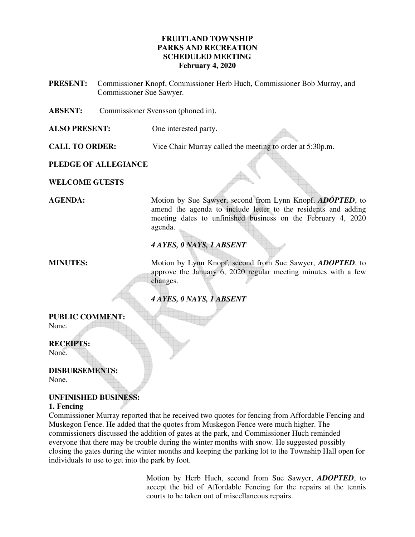### **FRUITLAND TOWNSHIP PARKS AND RECREATION SCHEDULED MEETING February 4, 2020**

**PRESENT:** Commissioner Knopf, Commissioner Herb Huch, Commissioner Bob Murray, and Commissioner Sue Sawyer.

**ABSENT:** Commissioner Svensson (phoned in).

**ALSO PRESENT:** One interested party.

**CALL TO ORDER:** Vice Chair Murray called the meeting to order at 5:30p.m.

**PLEDGE OF ALLEGIANCE** 

**WELCOME GUESTS** 

**AGENDA:** Motion by Sue Sawyer, second from Lynn Knopf, *ADOPTED*, to amend the agenda to include letter to the residents and adding meeting dates to unfinished business on the February 4, 2020 agenda.

## *4 AYES, 0 NAYS, 1 ABSENT*

**MINUTES:** Motion by Lynn Knopf, second from Sue Sawyer, *ADOPTED*, to approve the January 6, 2020 regular meeting minutes with a few changes.

### *4 AYES, 0 NAYS, 1 ABSENT*

# **PUBLIC COMMENT:**

None.

#### **RECEIPTS:**

None.

**DISBURSEMENTS:**  None.

#### **UNFINISHED BUSINESS: 1. Fencing**

Commissioner Murray reported that he received two quotes for fencing from Affordable Fencing and Muskegon Fence. He added that the quotes from Muskegon Fence were much higher. The commissioners discussed the addition of gates at the park, and Commissioner Huch reminded everyone that there may be trouble during the winter months with snow. He suggested possibly closing the gates during the winter months and keeping the parking lot to the Township Hall open for individuals to use to get into the park by foot.

> Motion by Herb Huch, second from Sue Sawyer, *ADOPTED*, to accept the bid of Affordable Fencing for the repairs at the tennis courts to be taken out of miscellaneous repairs.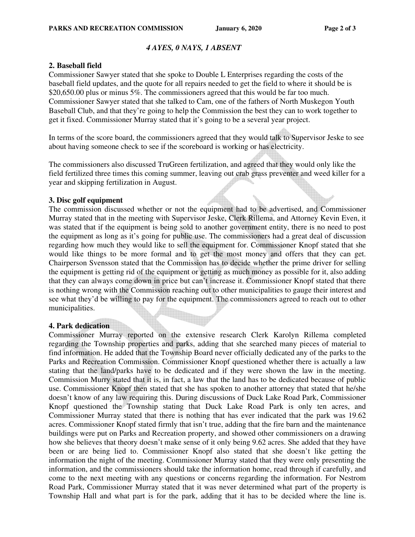### *4 AYES, 0 NAYS, 1 ABSENT*

#### **2. Baseball field**

Commissioner Sawyer stated that she spoke to Double L Enterprises regarding the costs of the baseball field updates, and the quote for all repairs needed to get the field to where it should be is \$20,650.00 plus or minus 5%. The commissioners agreed that this would be far too much. Commissioner Sawyer stated that she talked to Cam, one of the fathers of North Muskegon Youth Baseball Club, and that they're going to help the Commission the best they can to work together to get it fixed. Commissioner Murray stated that it's going to be a several year project.

In terms of the score board, the commissioners agreed that they would talk to Supervisor Jeske to see about having someone check to see if the scoreboard is working or has electricity.

The commissioners also discussed TruGreen fertilization, and agreed that they would only like the field fertilized three times this coming summer, leaving out crab grass preventer and weed killer for a year and skipping fertilization in August.

#### **3. Disc golf equipment**

The commission discussed whether or not the equipment had to be advertised, and Commissioner Murray stated that in the meeting with Supervisor Jeske, Clerk Rillema, and Attorney Kevin Even, it was stated that if the equipment is being sold to another government entity, there is no need to post the equipment as long as it's going for public use. The commissioners had a great deal of discussion regarding how much they would like to sell the equipment for. Commissioner Knopf stated that she would like things to be more formal and to get the most money and offers that they can get. Chairperson Svensson stated that the Commission has to decide whether the prime driver for selling the equipment is getting rid of the equipment or getting as much money as possible for it, also adding that they can always come down in price but can't increase it. Commissioner Knopf stated that there is nothing wrong with the Commission reaching out to other municipalities to gauge their interest and see what they'd be willing to pay for the equipment. The commissioners agreed to reach out to other municipalities.

### **4. Park dedication**

Commissioner Murray reported on the extensive research Clerk Karolyn Rillema completed regarding the Township properties and parks, adding that she searched many pieces of material to find information. He added that the Township Board never officially dedicated any of the parks to the Parks and Recreation Commission. Commissioner Knopf questioned whether there is actually a law stating that the land/parks have to be dedicated and if they were shown the law in the meeting. Commission Murry stated that it is, in fact, a law that the land has to be dedicated because of public use. Commissioner Knopf then stated that she has spoken to another attorney that stated that he/she doesn't know of any law requiring this. During discussions of Duck Lake Road Park, Commissioner Knopf questioned the Township stating that Duck Lake Road Park is only ten acres, and Commissioner Murray stated that there is nothing that has ever indicated that the park was 19.62 acres. Commissioner Knopf stated firmly that isn't true, adding that the fire barn and the maintenance buildings were put on Parks and Recreation property, and showed other commissioners on a drawing how she believes that theory doesn't make sense of it only being 9.62 acres. She added that they have been or are being lied to. Commissioner Knopf also stated that she doesn't like getting the information the night of the meeting. Commissioner Murray stated that they were only presenting the information, and the commissioners should take the information home, read through if carefully, and come to the next meeting with any questions or concerns regarding the information. For Nestrom Road Park, Commissioner Murray stated that it was never determined what part of the property is Township Hall and what part is for the park, adding that it has to be decided where the line is.